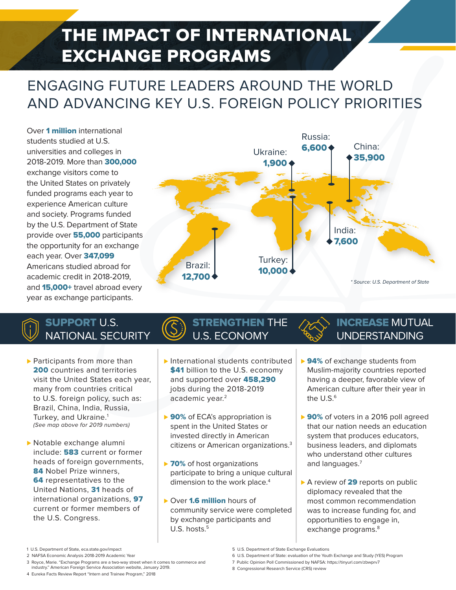# THE IMPACT OF INTERNATIONAL EXCHANGE PROGRAMS

### ENGAGING FUTURE LEADERS AROUND THE WORLD AND ADVANCING KEY U.S. FOREIGN POLICY PRIORITIES

Over 1 million international students studied at U.S. universities and colleges in 2018-2019. More than 300,000 exchange visitors come to the United States on privately funded programs each year to experience American culture and society. Programs funded by the U.S. Department of State provide over 55,000 participants the opportunity for an exchange each year. Over 347,099 Americans studied abroad for academic credit in 2018-2019, and **15,000+** travel abroad every year as exchange participants.



#### SUPPORT U.S. NATIONAL SECURITY

- ▶ Participants from more than 200 countries and territories visit the United States each year, many from countries critical to U.S. foreign policy, such as: Brazil, China, India, Russia, Turkey, and Ukraine.<sup>1</sup> (See map above for 2019 numbers)
- ▶ Notable exchange alumni include: 583 current or former heads of foreign governments, 84 Nobel Prize winners, **64** representatives to the United Nations, 31 heads of international organizations, 97 current or former members of the U.S. Congress.

#### STRENGTHEN THE U.S. ECONOMY

- ▶ International students contributed \$41 billion to the U.S. economy and supported over 458,290 jobs during the 2018-2019 academic year.<sup>2</sup>
- ► 90% of ECA's appropriation is spent in the United States or invested directly in American citizens or American organizations.3
- ► 70% of host organizations participate to bring a unique cultural dimension to the work place.<sup>4</sup>
- ► Over 1.6 million hours of community service were completed by exchange participants and U.S. hosts. $5$

#### INCREASE MUTUAL UNDERSTANDING

- ▶ 94% of exchange students from Muslim-majority countries reported having a deeper, favorable view of American culture after their year in the  $U.S.^6$
- ► 90% of voters in a 2016 poll agreed that our nation needs an education system that produces educators, business leaders, and diplomats who understand other cultures and languages.<sup>7</sup>
- ► A review of 29 reports on public diplomacy revealed that the most common recommendation was to increase funding for, and opportunities to engage in, exchange programs.<sup>8</sup>

2 NAFSA Economic Analysis 2018-2019 Academic Year

4 Eureka Facts Review Report "Intern and Trainee Program," 2018

<sup>1</sup> U.S. Department of State, eca.state.gov/impact

<sup>3</sup> Royce, Marie. "Exchange Programs are a two-way street when it comes to commerce and

industry." American Foreign Service Association website, January 2019.

<sup>5</sup> U.S. Department of State Exchange Evaluations

<sup>6</sup> U.S. Department of State: evaluation of the Youth Exchange and Study (YES) Program

<sup>7</sup> Public Opinion Poll Commissioned by NAFSA: https://tinyurl.com/zbwprv7

<sup>8</sup> Congressional Research Service (CRS) review